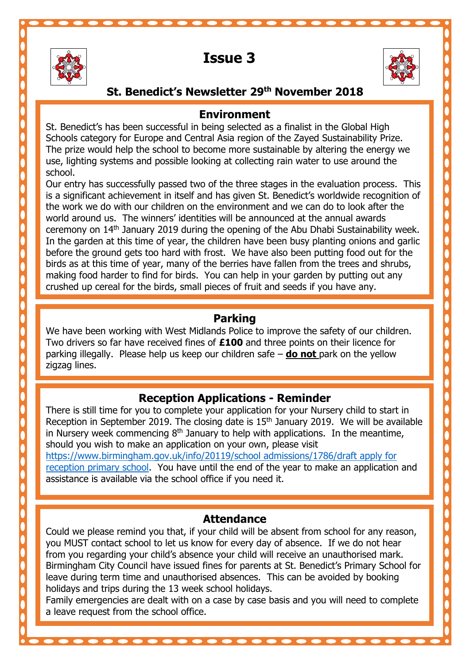

i

Ξ

# **Issue 3**



# **St. Benedict's Newsletter 29th November 2018**

#### **Environment**

St. Benedict's has been successful in being selected as a finalist in the Global High Schools category for Europe and Central Asia region of the Zayed Sustainability Prize. The prize would help the school to become more sustainable by altering the energy we use, lighting systems and possible looking at collecting rain water to use around the school.

 Our entry has successfully passed two of the three stages in the evaluation process. This crushed up cereal for the birds, small pieces of fruit and seeds if you have any. is a significant achievement in itself and has given St. Benedict's worldwide recognition of the work we do with our children on the environment and we can do to look after the world around us. The winners' identities will be announced at the annual awards ceremony on 14th January 2019 during the opening of the Abu Dhabi Sustainability week. In the garden at this time of year, the children have been busy planting onions and garlic before the ground gets too hard with frost. We have also been putting food out for the birds as at this time of year, many of the berries have fallen from the trees and shrubs, making food harder to find for birds. You can help in your garden by putting out any

#### **Parking**

**Parking**<br>We have been working with West Midlands Police to improve the safety of our children. Two drivers so far have received fines of **£100** and three points on their licence for parking illegally. Please help us keep our children safe – **do not** park on the yellow  $\overline{a}$ zigzag lines.

# **Reception Applications - Reminder**

 There is still time for you to complete your application for your Nursery child to start in Reception in September 2019. The closing date is 15<sup>er</sup> January 2019. We will be availa<br>In Nursery week commencing 8<sup>th</sup> January to help with applications. In the meantime, should you wish to make an application on your own, please visit ntips://www.birmingham.gov.uk/info/zo119/school admissions/1786/draft apply for<br>[reception primary school.](https://www.birmingham.gov.uk/info/20119/school%20admissions/1786/draft%20apply%20for%20reception%20primary%20school) You have until the end of the year to make an application and assistance is available via the school office if you need it. Reception in September 2019. The closing date is 15<sup>th</sup> January 2019. We will be available [https://www.birmingham.gov.uk/info/20119/school admissions/1786/draft apply for](https://www.birmingham.gov.uk/info/20119/school%20admissions/1786/draft%20apply%20for%20reception%20primary%20school) 

#### **Attendance**

 Could we please remind you that, if your child will be absent from school for any reason, from you regarding your child's absence your child will receive an unauthorised mark. holidays and trips during the 13 week school holidays.<br>Family emergencies are doalt with en a sase by sase i you MUST contact school to let us know for every day of absence. If we do not hear Birmingham City Council have issued fines for parents at St. Benedict's Primary School for leave during term time and unauthorised absences. This can be avoided by booking

Family emergencies are dealt with on a case by case basis and you will need to complete a leave request from the school office.